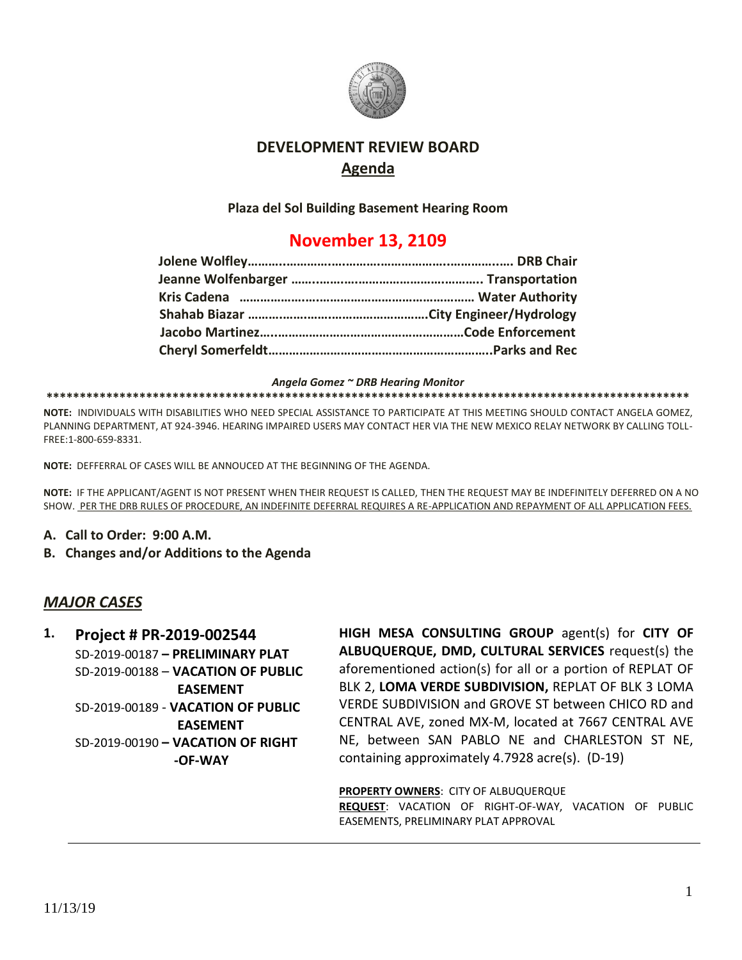

# **DEVELOPMENT REVIEW BOARD Agenda**

**Plaza del Sol Building Basement Hearing Room**

# **November 13, 2109**

*Angela Gomez ~ DRB Hearing Monitor*

**\*\*\*\*\*\*\*\*\*\*\*\*\*\*\*\*\*\*\*\*\*\*\*\*\*\*\*\*\*\*\*\*\*\*\*\*\*\*\*\*\*\*\*\*\*\*\*\*\*\*\*\*\*\*\*\*\*\*\*\*\*\*\*\*\*\*\*\*\*\*\*\*\*\*\*\*\*\*\*\*\*\*\*\*\*\*\*\*\*\*\*\*\*\*\*\*\***

**NOTE:** INDIVIDUALS WITH DISABILITIES WHO NEED SPECIAL ASSISTANCE TO PARTICIPATE AT THIS MEETING SHOULD CONTACT ANGELA GOMEZ, PLANNING DEPARTMENT, AT 924-3946. HEARING IMPAIRED USERS MAY CONTACT HER VIA THE NEW MEXICO RELAY NETWORK BY CALLING TOLL-FREE:1-800-659-8331.

**NOTE:** DEFFERRAL OF CASES WILL BE ANNOUCED AT THE BEGINNING OF THE AGENDA.

**NOTE:** IF THE APPLICANT/AGENT IS NOT PRESENT WHEN THEIR REQUEST IS CALLED, THEN THE REQUEST MAY BE INDEFINITELY DEFERRED ON A NO SHOW. PER THE DRB RULES OF PROCEDURE, AN INDEFINITE DEFERRAL REQUIRES A RE-APPLICATION AND REPAYMENT OF ALL APPLICATION FEES.

- **A. Call to Order: 9:00 A.M.**
- **B. Changes and/or Additions to the Agenda**

### *MAJOR CASES*

**1. Project # PR-2019-002544** SD-2019-00187 **– PRELIMINARY PLAT** SD-2019-00188 – **VACATION OF PUBLIC EASEMENT** SD-2019-00189 - **VACATION OF PUBLIC EASEMENT** SD-2019-00190 **– VACATION OF RIGHT -OF-WAY**

**HIGH MESA CONSULTING GROUP** agent(s) for **CITY OF ALBUQUERQUE, DMD, CULTURAL SERVICES** request(s) the aforementioned action(s) for all or a portion of REPLAT OF BLK 2, **LOMA VERDE SUBDIVISION,** REPLAT OF BLK 3 LOMA VERDE SUBDIVISION and GROVE ST between CHICO RD and CENTRAL AVE, zoned MX-M, located at 7667 CENTRAL AVE NE, between SAN PABLO NE and CHARLESTON ST NE, containing approximately 4.7928 acre(s). (D-19)

**PROPERTY OWNERS**: CITY OF ALBUQUERQUE **REQUEST**: VACATION OF RIGHT-OF-WAY, VACATION OF PUBLIC EASEMENTS, PRELIMINARY PLAT APPROVAL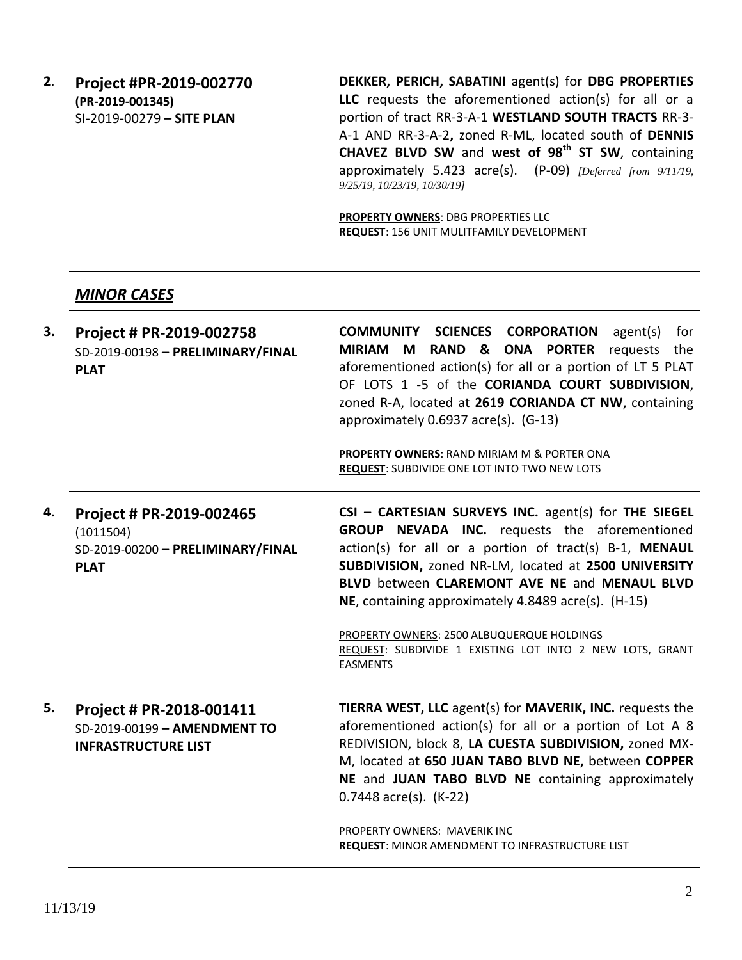**2**. **Project #PR-2019-002770 (PR-2019-001345)** SI-2019-00279 **– SITE PLAN**

**DEKKER, PERICH, SABATINI** agent(s) for **DBG PROPERTIES LLC** requests the aforementioned action(s) for all or a portion of tract RR-3-A-1 **WESTLAND SOUTH TRACTS** RR-3- A-1 AND RR-3-A-2**,** zoned R-ML, located south of **DENNIS CHAVEZ BLVD SW** and **west of 98th ST SW**, containing approximately 5.423 acre(s). (P-09) *[Deferred from 9/11/19, 9/25/19, 10/23/19, 10/30/19]*

**PROPERTY OWNERS**: DBG PROPERTIES LLC **REQUEST**: 156 UNIT MULITFAMILY DEVELOPMENT

#### *MINOR CASES*

| 3. | Project # PR-2019-002758<br>SD-2019-00198 - PRELIMINARY/FINAL<br><b>PLAT</b>              | <b>COMMUNITY SCIENCES CORPORATION</b> agent(s)<br>for<br>MIRIAM M RAND & ONA PORTER requests the<br>aforementioned action(s) for all or a portion of LT 5 PLAT<br>OF LOTS 1 -5 of the CORIANDA COURT SUBDIVISION,<br>zoned R-A, located at 2619 CORIANDA CT NW, containing<br>approximately 0.6937 acre(s). (G-13)<br><b>PROPERTY OWNERS: RAND MIRIAM M &amp; PORTER ONA</b><br><b>REQUEST: SUBDIVIDE ONE LOT INTO TWO NEW LOTS</b>                          |
|----|-------------------------------------------------------------------------------------------|--------------------------------------------------------------------------------------------------------------------------------------------------------------------------------------------------------------------------------------------------------------------------------------------------------------------------------------------------------------------------------------------------------------------------------------------------------------|
| 4. | Project # PR-2019-002465<br>(1011504)<br>SD-2019-00200 - PRELIMINARY/FINAL<br><b>PLAT</b> | CSI - CARTESIAN SURVEYS INC. agent(s) for THE SIEGEL<br>GROUP NEVADA INC. requests the aforementioned<br>action(s) for all or a portion of tract(s) B-1, MENAUL<br>SUBDIVISION, zoned NR-LM, located at 2500 UNIVERSITY<br>BLVD between CLAREMONT AVE NE and MENAUL BLVD<br>NE, containing approximately 4.8489 acre(s). (H-15)<br>PROPERTY OWNERS: 2500 ALBUQUERQUE HOLDINGS<br>REQUEST: SUBDIVIDE 1 EXISTING LOT INTO 2 NEW LOTS, GRANT<br><b>EASMENTS</b> |
| 5. | Project # PR-2018-001411<br>SD-2019-00199 - AMENDMENT TO<br><b>INFRASTRUCTURE LIST</b>    | <b>TIERRA WEST, LLC</b> agent(s) for <b>MAVERIK, INC.</b> requests the<br>aforementioned action(s) for all or a portion of Lot A 8<br>REDIVISION, block 8, LA CUESTA SUBDIVISION, zoned MX-<br>M, located at 650 JUAN TABO BLVD NE, between COPPER<br>NE and JUAN TABO BLVD NE containing approximately<br>$0.7448$ acre(s). (K-22)<br>PROPERTY OWNERS: MAVERIK INC<br>REQUEST: MINOR AMENDMENT TO INFRASTRUCTURE LIST                                       |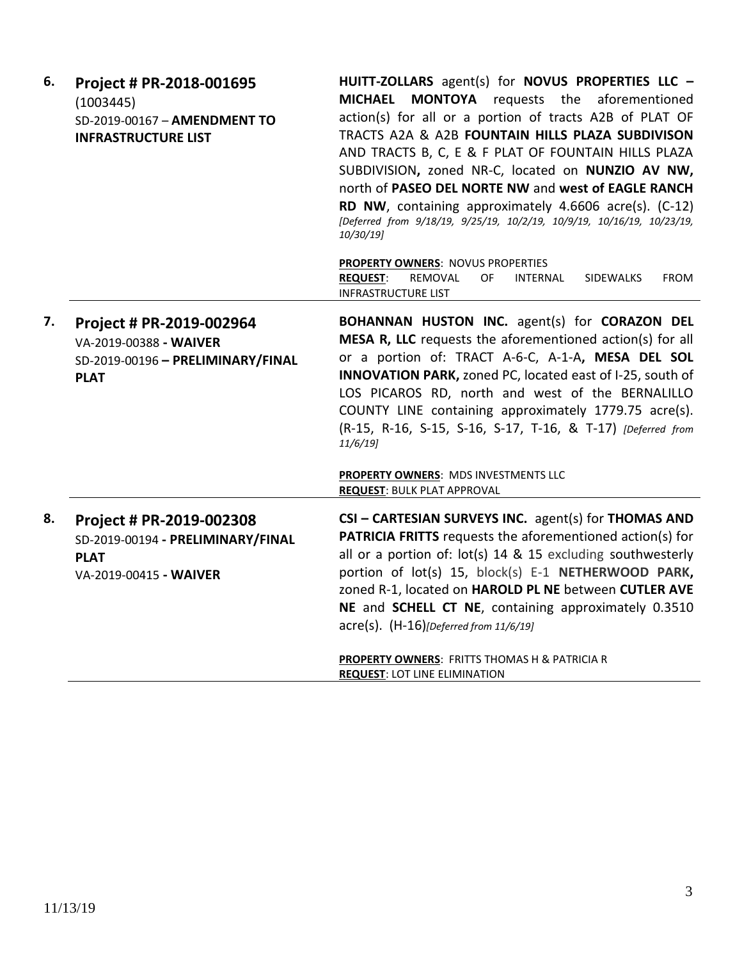| 6. | Project # PR-2018-001695<br>(1003445)<br>SD-2019-00167 - AMENDMENT TO<br><b>INFRASTRUCTURE LIST</b>    | HUITT-ZOLLARS agent(s) for NOVUS PROPERTIES LLC -<br>MONTOYA requests the aforementioned<br><b>MICHAEL</b><br>action(s) for all or a portion of tracts A2B of PLAT OF<br>TRACTS A2A & A2B FOUNTAIN HILLS PLAZA SUBDIVISON<br>AND TRACTS B, C, E & F PLAT OF FOUNTAIN HILLS PLAZA<br>SUBDIVISION, zoned NR-C, located on NUNZIO AV NW,<br>north of PASEO DEL NORTE NW and west of EAGLE RANCH<br>RD NW, containing approximately 4.6606 acre(s). (C-12)<br>[Deferred from 9/18/19, 9/25/19, 10/2/19, 10/9/19, 10/16/19, 10/23/19,<br>10/30/19] |
|----|--------------------------------------------------------------------------------------------------------|-----------------------------------------------------------------------------------------------------------------------------------------------------------------------------------------------------------------------------------------------------------------------------------------------------------------------------------------------------------------------------------------------------------------------------------------------------------------------------------------------------------------------------------------------|
|    |                                                                                                        | <b>PROPERTY OWNERS: NOVUS PROPERTIES</b><br><b>REQUEST:</b><br>REMOVAL<br>OF.<br><b>INTERNAL</b><br>SIDEWALKS<br><b>FROM</b><br><b>INFRASTRUCTURE LIST</b>                                                                                                                                                                                                                                                                                                                                                                                    |
| 7. | Project # PR-2019-002964<br>VA-2019-00388 - WAIVER<br>SD-2019-00196 - PRELIMINARY/FINAL<br><b>PLAT</b> | BOHANNAN HUSTON INC. agent(s) for CORAZON DEL<br>MESA R, LLC requests the aforementioned action(s) for all<br>or a portion of: TRACT A-6-C, A-1-A, MESA DEL SOL<br><b>INNOVATION PARK, zoned PC, located east of I-25, south of</b><br>LOS PICAROS RD, north and west of the BERNALILLO<br>COUNTY LINE containing approximately 1779.75 acre(s).<br>(R-15, R-16, S-15, S-16, S-17, T-16, & T-17) [Deferred from<br>$11/6/19$ ]                                                                                                                |
|    |                                                                                                        | PROPERTY OWNERS: MDS INVESTMENTS LLC<br><b>REQUEST: BULK PLAT APPROVAL</b>                                                                                                                                                                                                                                                                                                                                                                                                                                                                    |
| 8. | Project # PR-2019-002308<br>SD-2019-00194 - PRELIMINARY/FINAL<br><b>PLAT</b><br>VA-2019-00415 - WAIVER | CSI - CARTESIAN SURVEYS INC. agent(s) for THOMAS AND<br><b>PATRICIA FRITTS</b> requests the aforementioned action(s) for<br>all or a portion of: lot(s) 14 & 15 excluding southwesterly<br>portion of lot(s) 15, block(s) E-1 NETHERWOOD PARK,<br>zoned R-1, located on HAROLD PL NE between CUTLER AVE<br>NE and SCHELL CT NE, containing approximately 0.3510<br>$\text{acre}(s)$ . $(H-16)$ [Deferred from 11/6/19]<br><b>PROPERTY OWNERS: FRITTS THOMAS H &amp; PATRICIA R</b>                                                            |
|    |                                                                                                        | <b>REQUEST: LOT LINE ELIMINATION</b>                                                                                                                                                                                                                                                                                                                                                                                                                                                                                                          |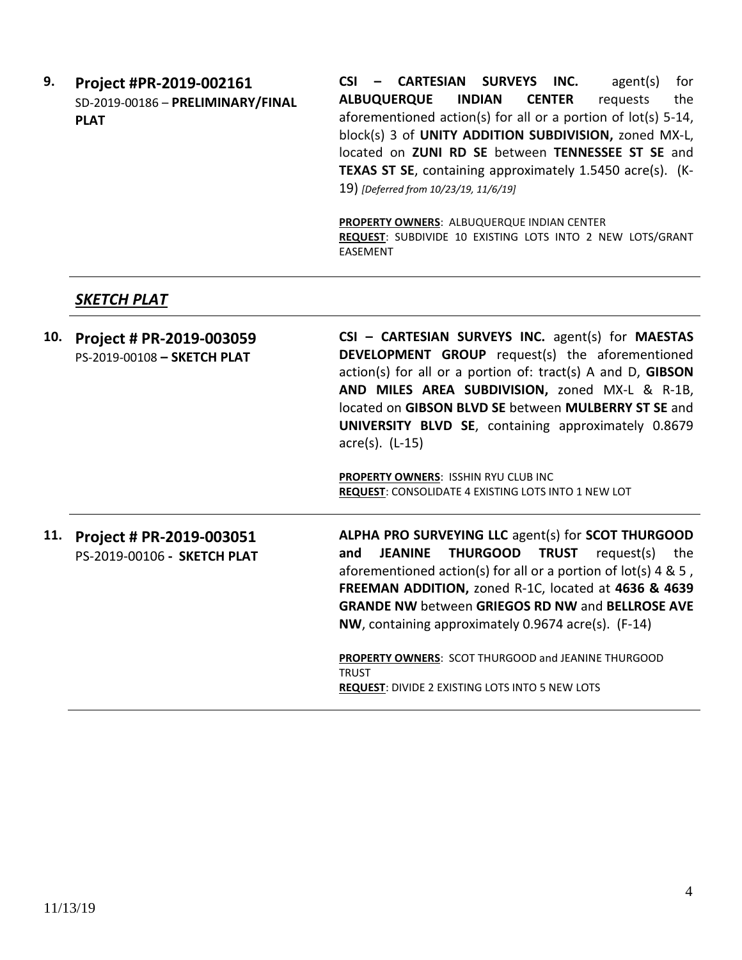**9. Project #PR-2019-002161** SD-2019-00186 – **PRELIMINARY/FINAL PLAT**

**CSI – CARTESIAN SURVEYS INC.** agent(s) for **ALBUQUERQUE INDIAN CENTER** requests the aforementioned action(s) for all or a portion of lot(s) 5-14, block(s) 3 of **UNITY ADDITION SUBDIVISION,** zoned MX-L, located on **ZUNI RD SE** between **TENNESSEE ST SE** and **TEXAS ST SE**, containing approximately 1.5450 acre(s). (K-19) *[Deferred from 10/23/19, 11/6/19]*

**PROPERTY OWNERS**: ALBUQUERQUE INDIAN CENTER **REQUEST**: SUBDIVIDE 10 EXISTING LOTS INTO 2 NEW LOTS/GRANT EASEMENT

## *SKETCH PLAT*

| 10. | Project # PR-2019-003059<br>PS-2019-00108 - SKETCH PLAT | CSI - CARTESIAN SURVEYS INC. agent(s) for MAESTAS<br><b>DEVELOPMENT GROUP</b> request(s) the aforementioned<br>$action(s)$ for all or a portion of: tract(s) A and D, GIBSON<br>AND MILES AREA SUBDIVISION, zoned MX-L & R-1B,<br>located on GIBSON BLVD SE between MULBERRY ST SE and<br>UNIVERSITY BLVD SE, containing approximately 0.8679<br>$\arccos 0$ . (L-15)<br>PROPERTY OWNERS: ISSHIN RYU CLUB INC<br><b>REQUEST: CONSOLIDATE 4 EXISTING LOTS INTO 1 NEW LOT</b> |
|-----|---------------------------------------------------------|-----------------------------------------------------------------------------------------------------------------------------------------------------------------------------------------------------------------------------------------------------------------------------------------------------------------------------------------------------------------------------------------------------------------------------------------------------------------------------|
| 11. | Project # PR-2019-003051<br>PS-2019-00106 - SKETCH PLAT | <b>ALPHA PRO SURVEYING LLC agent(s) for SCOT THURGOOD</b><br><b>THURGOOD TRUST</b> request(s) the<br><b>JEANINE</b><br>and<br>aforementioned action(s) for all or a portion of $lot(s)$ 4 & 5,<br>FREEMAN ADDITION, zoned R-1C, located at 4636 & 4639<br><b>GRANDE NW between GRIEGOS RD NW and BELLROSE AVE</b><br>NW, containing approximately 0.9674 acre(s). (F-14)<br><b>PROPERTY OWNERS: SCOT THURGOOD and JEANINE THURGOOD</b>                                      |
|     |                                                         | <b>TRUST</b><br><b>REQUEST: DIVIDE 2 EXISTING LOTS INTO 5 NEW LOTS</b>                                                                                                                                                                                                                                                                                                                                                                                                      |